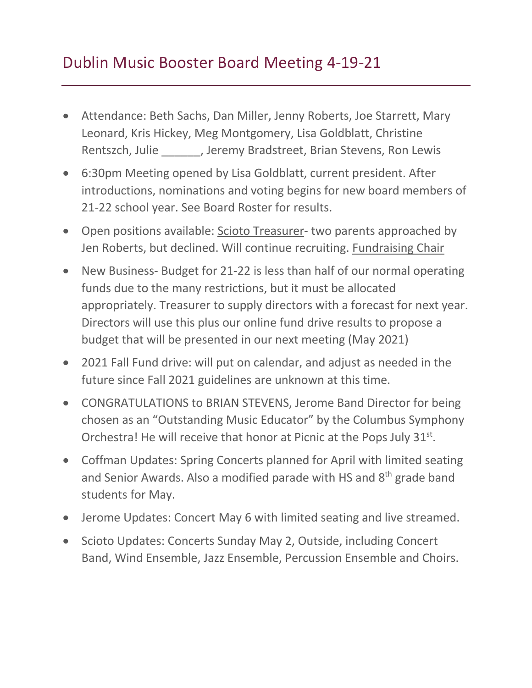## Dublin Music Booster Board Meeting 4-19-21

- Attendance: Beth Sachs, Dan Miller, Jenny Roberts, Joe Starrett, Mary Leonard, Kris Hickey, Meg Montgomery, Lisa Goldblatt, Christine Rentszch, Julie \_\_\_\_\_\_, Jeremy Bradstreet, Brian Stevens, Ron Lewis
- 6:30pm Meeting opened by Lisa Goldblatt, current president. After introductions, nominations and voting begins for new board members of 21-22 school year. See Board Roster for results.
- Open positions available: Scioto Treasurer- two parents approached by Jen Roberts, but declined. Will continue recruiting. Fundraising Chair
- New Business- Budget for 21-22 is less than half of our normal operating funds due to the many restrictions, but it must be allocated appropriately. Treasurer to supply directors with a forecast for next year. Directors will use this plus our online fund drive results to propose a budget that will be presented in our next meeting (May 2021)
- 2021 Fall Fund drive: will put on calendar, and adjust as needed in the future since Fall 2021 guidelines are unknown at this time.
- CONGRATULATIONS to BRIAN STEVENS, Jerome Band Director for being chosen as an "Outstanding Music Educator" by the Columbus Symphony Orchestra! He will receive that honor at Picnic at the Pops July 31<sup>st</sup>.
- Coffman Updates: Spring Concerts planned for April with limited seating and Senior Awards. Also a modified parade with HS and 8<sup>th</sup> grade band students for May.
- Jerome Updates: Concert May 6 with limited seating and live streamed.
- Scioto Updates: Concerts Sunday May 2, Outside, including Concert Band, Wind Ensemble, Jazz Ensemble, Percussion Ensemble and Choirs.